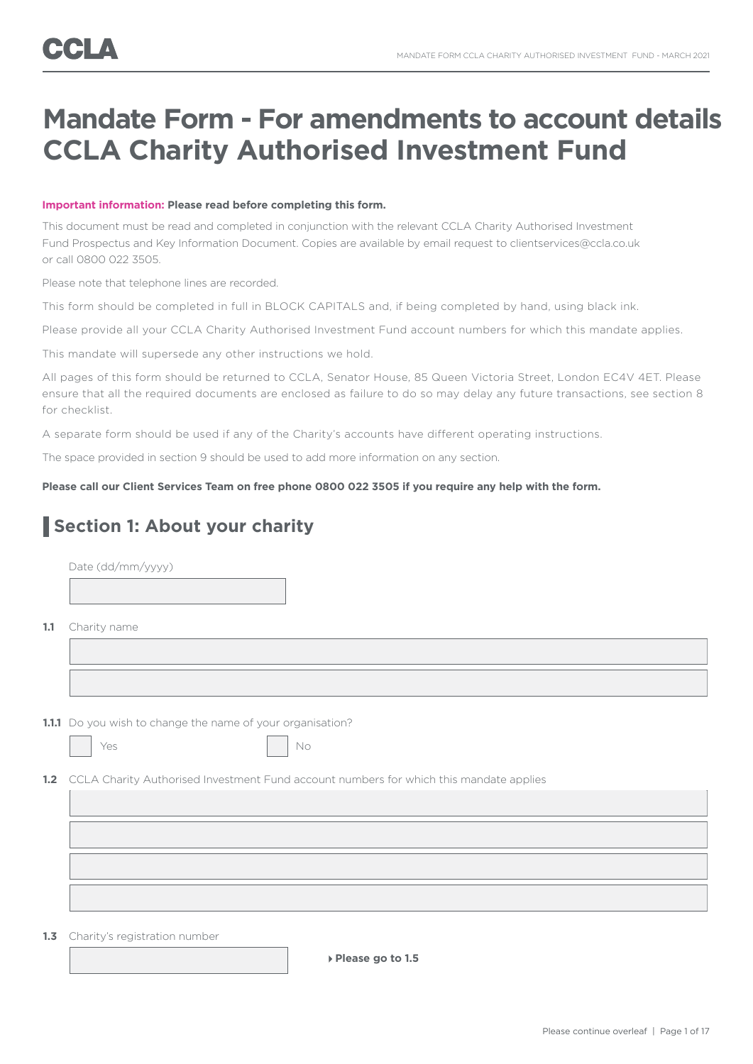## **Mandate Form - For amendments to account details CCLA Charity Authorised Investment Fund**

#### **Important information: Please read before completing this form.**

This document must be read and completed in conjunction with the relevant CCLA Charity Authorised Investment Fund Prospectus and Key Information Document. Copies are available by email request to clientservices@ccla.co.uk or call 0800 022 3505.

Please note that telephone lines are recorded.

This form should be completed in full in BLOCK CAPITALS and, if being completed by hand, using black ink.

Please provide all your CCLA Charity Authorised Investment Fund account numbers for which this mandate applies.

This mandate will supersede any other instructions we hold.

All pages of this form should be returned to CCLA, Senator House, 85 Queen Victoria Street, London EC4V 4ET. Please ensure that all the required documents are enclosed as failure to do so may delay any future transactions, see section 8 for checklist.

A separate form should be used if any of the Charity's accounts have different operating instructions.

The space provided in section 9 should be used to add more information on any section.

**Please call our Client Services Team on free phone 0800 022 3505 if you require any help with the form.**

### **Section 1: About your charity**

|     | Date (dd/mm/yyyy)                                                                          |
|-----|--------------------------------------------------------------------------------------------|
|     |                                                                                            |
|     |                                                                                            |
| 1.1 | Charity name                                                                               |
|     |                                                                                            |
|     |                                                                                            |
|     |                                                                                            |
|     | 1.1.1 Do you wish to change the name of your organisation?                                 |
|     | Yes<br>No                                                                                  |
|     | 1.2 CCLA Charity Authorised Investment Fund account numbers for which this mandate applies |
|     |                                                                                            |
|     |                                                                                            |
|     |                                                                                            |
|     |                                                                                            |
|     |                                                                                            |
|     |                                                                                            |
|     |                                                                                            |

1.3 Charity's registration number

**Please go to 1.5**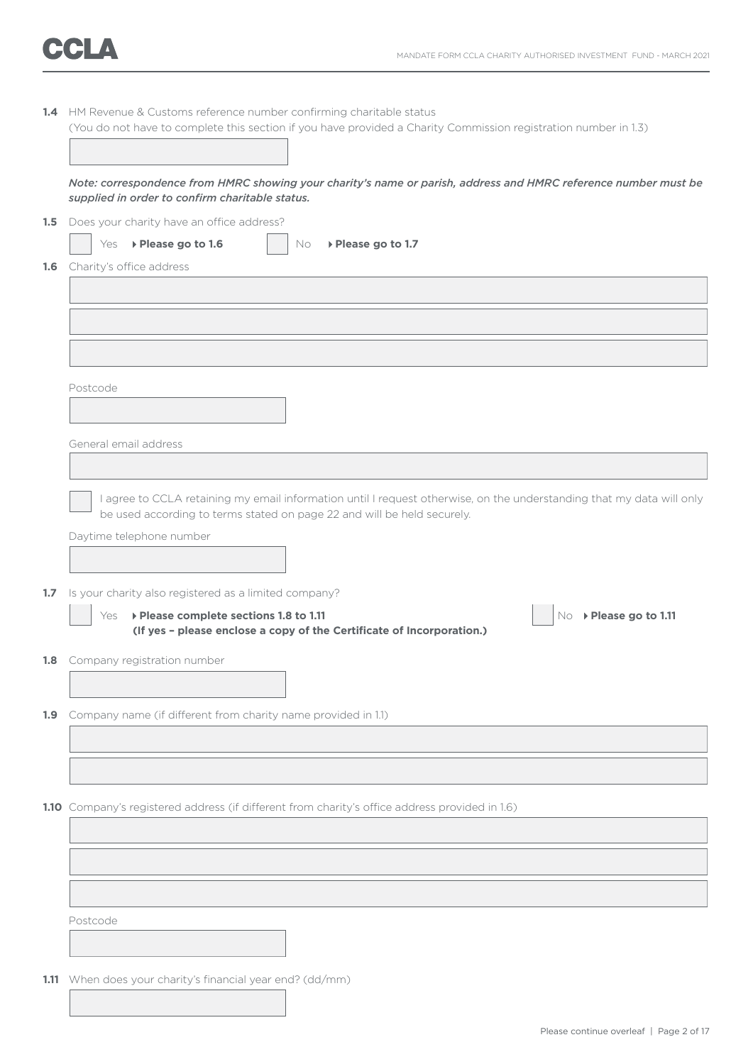

|                  | 1.4 HM Revenue & Customs reference number confirming charitable status<br>(You do not have to complete this section if you have provided a Charity Commission registration number in 1.3)        |
|------------------|--------------------------------------------------------------------------------------------------------------------------------------------------------------------------------------------------|
|                  | Note: correspondence from HMRC showing your charity's name or parish, address and HMRC reference number must be<br>supplied in order to confirm charitable status.                               |
| 1.5              | Does your charity have an office address?                                                                                                                                                        |
|                  | ▶ Please go to 1.6<br>Yes<br>No<br>▶ Please go to 1.7                                                                                                                                            |
|                  | <b>1.6</b> Charity's office address                                                                                                                                                              |
|                  |                                                                                                                                                                                                  |
|                  |                                                                                                                                                                                                  |
|                  |                                                                                                                                                                                                  |
|                  |                                                                                                                                                                                                  |
|                  |                                                                                                                                                                                                  |
|                  |                                                                                                                                                                                                  |
|                  | Postcode                                                                                                                                                                                         |
|                  |                                                                                                                                                                                                  |
|                  |                                                                                                                                                                                                  |
|                  | General email address                                                                                                                                                                            |
|                  |                                                                                                                                                                                                  |
|                  |                                                                                                                                                                                                  |
|                  | I agree to CCLA retaining my email information until I request otherwise, on the understanding that my data will only<br>be used according to terms stated on page 22 and will be held securely. |
|                  |                                                                                                                                                                                                  |
|                  | Daytime telephone number                                                                                                                                                                         |
|                  |                                                                                                                                                                                                  |
|                  |                                                                                                                                                                                                  |
| 1.7 <sub>2</sub> | Is your charity also registered as a limited company?                                                                                                                                            |
|                  | ▶ Please complete sections 1.8 to 1.11<br>No ▶ Please go to 1.11<br>Yes<br>(If yes - please enclose a copy of the Certificate of Incorporation.)                                                 |
|                  | <b>1.8</b> Company registration number                                                                                                                                                           |
|                  |                                                                                                                                                                                                  |
|                  |                                                                                                                                                                                                  |
|                  | 1.9 Company name (if different from charity name provided in 1.1)                                                                                                                                |
|                  |                                                                                                                                                                                                  |
|                  |                                                                                                                                                                                                  |
|                  |                                                                                                                                                                                                  |
|                  |                                                                                                                                                                                                  |
|                  | 1.10 Company's registered address (if different from charity's office address provided in 1.6)                                                                                                   |
|                  |                                                                                                                                                                                                  |
|                  |                                                                                                                                                                                                  |
|                  |                                                                                                                                                                                                  |
|                  |                                                                                                                                                                                                  |
|                  |                                                                                                                                                                                                  |
|                  | Postcode                                                                                                                                                                                         |
|                  |                                                                                                                                                                                                  |
|                  |                                                                                                                                                                                                  |
|                  | 1.11 When does your charity's financial year end? (dd/mm)                                                                                                                                        |
|                  |                                                                                                                                                                                                  |
|                  |                                                                                                                                                                                                  |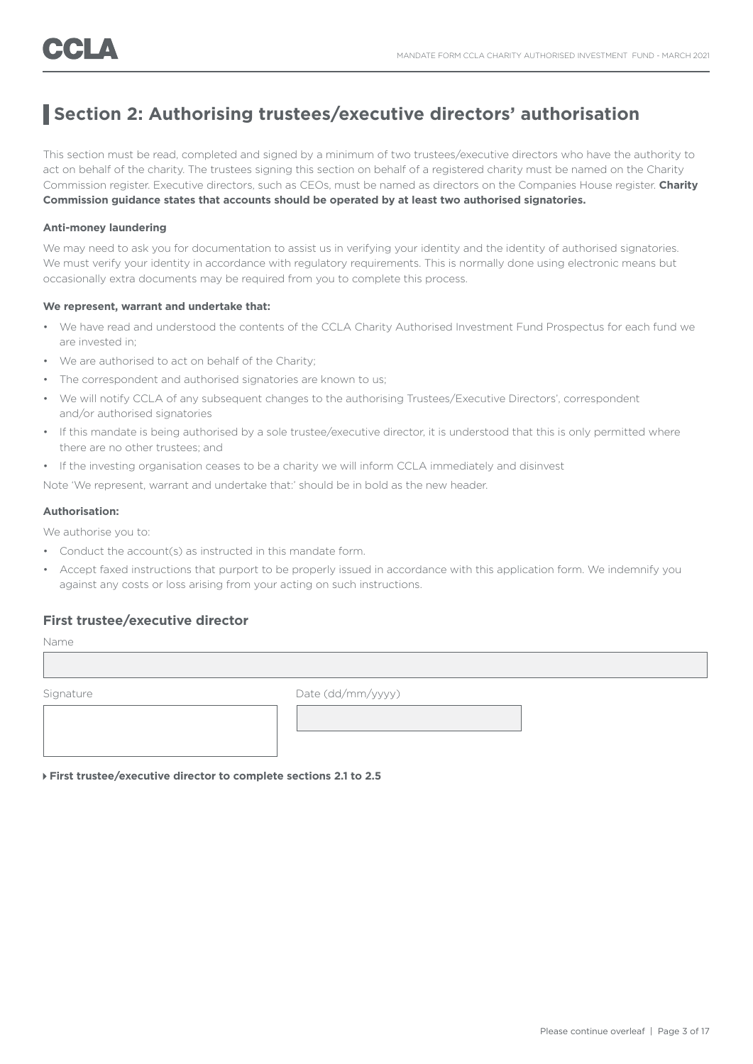### **Section 2: Authorising trustees/executive directors' authorisation**

This section must be read, completed and signed by a minimum of two trustees/executive directors who have the authority to act on behalf of the charity. The trustees signing this section on behalf of a registered charity must be named on the Charity Commission register. Executive directors, such as CEOs, must be named as directors on the Companies House register. **Charity Commission guidance states that accounts should be operated by at least two authorised signatories.**

#### **Anti-money laundering**

We may need to ask you for documentation to assist us in verifying your identity and the identity of authorised signatories. We must verify your identity in accordance with regulatory requirements. This is normally done using electronic means but occasionally extra documents may be required from you to complete this process.

#### **We represent, warrant and undertake that:**

- We have read and understood the contents of the CCLA Charity Authorised Investment Fund Prospectus for each fund we are invested in;
- We are authorised to act on behalf of the Charity;
- The correspondent and authorised signatories are known to us;
- We will notify CCLA of any subsequent changes to the authorising Trustees/Executive Directors', correspondent and/or authorised signatories
- If this mandate is being authorised by a sole trustee/executive director, it is understood that this is only permitted where there are no other trustees; and
- If the investing organisation ceases to be a charity we will inform CCLA immediately and disinvest

Note 'We represent, warrant and undertake that:' should be in bold as the new header.

#### **Authorisation:**

We authorise you to:

- Conduct the account(s) as instructed in this mandate form.
- Accept faxed instructions that purport to be properly issued in accordance with this application form. We indemnify you against any costs or loss arising from your acting on such instructions.

### **First trustee/executive director**

Name

Signature Date (dd/mm/yyyy)

 **First trustee/executive director to complete sections 2.1 to 2.5**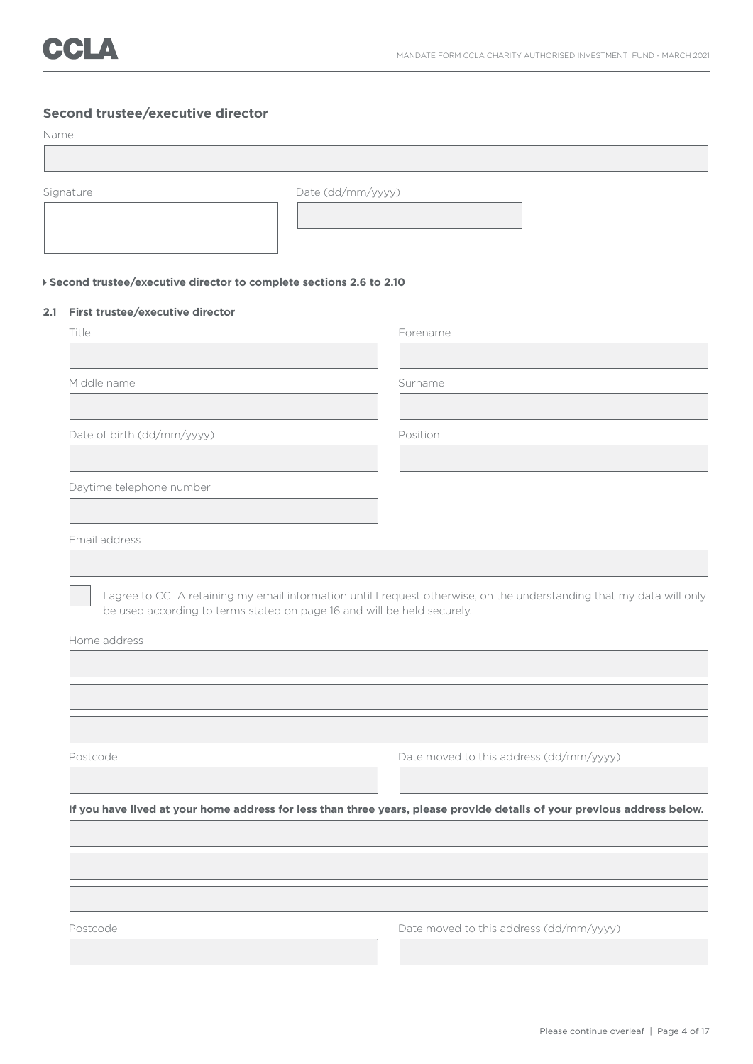### **Second trustee/executive director**

#### Name

| <b>TACHLIG</b> |                                                                      |                   |
|----------------|----------------------------------------------------------------------|-------------------|
|                |                                                                      |                   |
|                |                                                                      |                   |
|                | Signature                                                            | Date (dd/mm/yyyy) |
|                |                                                                      |                   |
|                |                                                                      |                   |
|                |                                                                      |                   |
|                |                                                                      |                   |
|                | ▶ Second trustee/executive director to complete sections 2.6 to 2.10 |                   |
| 2.1            | First trustee/executive director                                     |                   |
|                | Title                                                                | Forename          |
|                |                                                                      |                   |
|                |                                                                      |                   |

Middle name Surname Surname Surname Surname Surname Surname Surname Surname Surname Surname Surname Surname Surname Surname Surname Surname Surname Surname Surname Surname Surname Surname Surname Surname Surname Surname Su

Date of birth (dd/mm/yyyy) Position

Daytime telephone number

Email address

 I agree to CCLA retaining my email information until I request otherwise, on the understanding that my data will only be used according to terms stated on page 16 and will be held securely.

Home address

Postcode Date moved to this address (dd/mm/yyyy) **If you have lived at your home address for less than three years, please provide details of your previous address below.**

Postcode Date moved to this address (dd/mm/yyyy)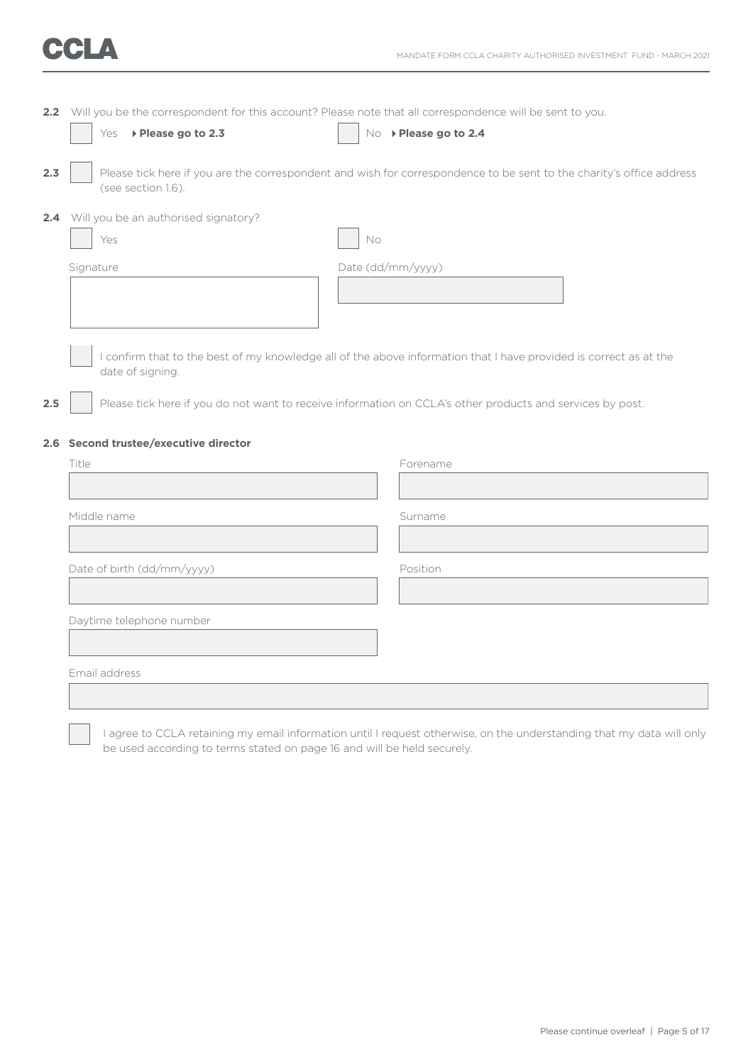| 2.2 Will you be the correspondent for this account? Please note that all correspondence will be sent to you. |                       |  |
|--------------------------------------------------------------------------------------------------------------|-----------------------|--|
| $\overline{\phantom{a}}$ Yes $\rightarrow$ Please go to 2.3                                                  | No > Please go to 2.4 |  |

**2.3** Please tick here if you are the correspondent and wish for correspondence to be sent to the charity's office address (see section 1.6).

**2.4** Will you be an authorised signatory?

| Yes       | No                |
|-----------|-------------------|
| Signature | Date (dd/mm/yyyy) |
|           |                   |
|           |                   |

 I confirm that to the best of my knowledge all of the above information that I have provided is correct as at the date of signing.

**2.5** Please tick here if you do not want to receive information on CCLA's other products and services by post.

#### **2.6 Second trustee/executive director**

| Title                      | Forename |
|----------------------------|----------|
|                            |          |
| Middle name                | Surname  |
|                            |          |
| Date of birth (dd/mm/yyyy) | Position |
|                            |          |
| Daytime telephone number   |          |
|                            |          |
| Email address              |          |
|                            |          |

 I agree to CCLA retaining my email information until I request otherwise, on the understanding that my data will only be used according to terms stated on page 16 and will be held securely.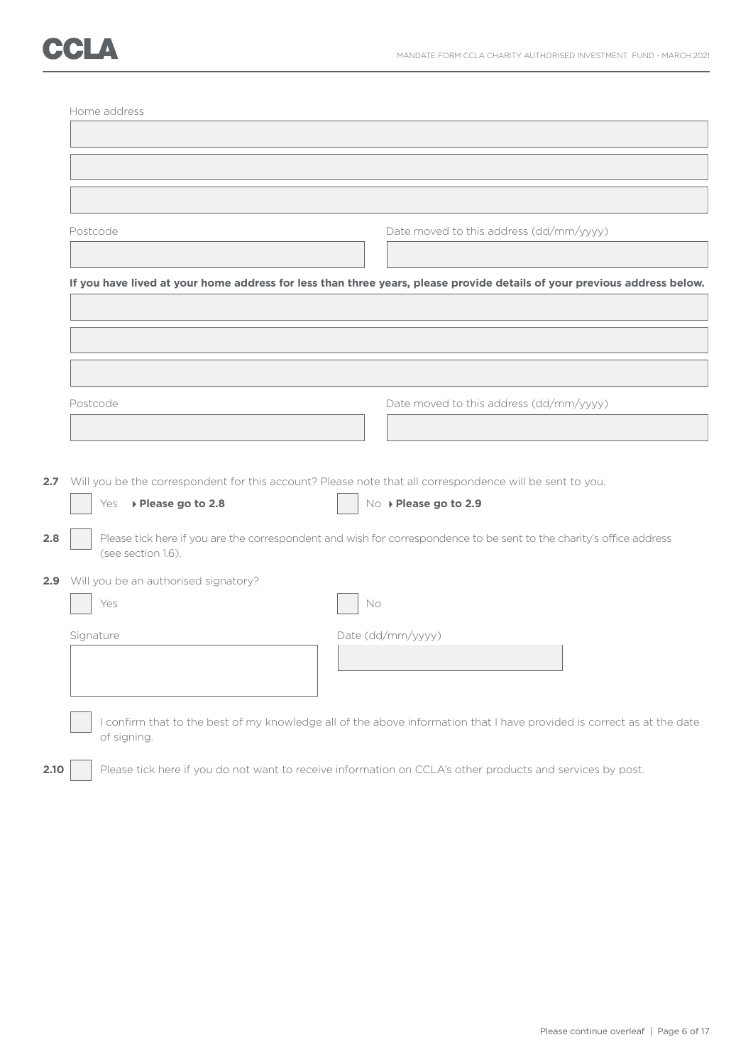# CCLA

|      | Home address                             |                                                                                                                          |
|------|------------------------------------------|--------------------------------------------------------------------------------------------------------------------------|
|      |                                          |                                                                                                                          |
|      |                                          |                                                                                                                          |
|      |                                          |                                                                                                                          |
|      |                                          |                                                                                                                          |
|      | Postcode                                 | Date moved to this address (dd/mm/yyyy)                                                                                  |
|      |                                          |                                                                                                                          |
|      |                                          |                                                                                                                          |
|      |                                          | If you have lived at your home address for less than three years, please provide details of your previous address below. |
|      |                                          |                                                                                                                          |
|      |                                          |                                                                                                                          |
|      |                                          |                                                                                                                          |
|      |                                          |                                                                                                                          |
|      | Postcode                                 | Date moved to this address (dd/mm/yyyy)                                                                                  |
|      |                                          |                                                                                                                          |
|      |                                          |                                                                                                                          |
|      |                                          | 2.7 Will you be the correspondent for this account? Please note that all correspondence will be sent to you.             |
|      | ▶ Please go to 2.8<br>Yes                | No ▶ Please go to 2.9                                                                                                    |
|      |                                          |                                                                                                                          |
| 2.8  |                                          | Please tick here if you are the correspondent and wish for correspondence to be sent to the charity's office address     |
|      | (see section 1.6).                       |                                                                                                                          |
|      | 2.9 Will you be an authorised signatory? |                                                                                                                          |
|      | Yes                                      | No                                                                                                                       |
|      | Signature                                | Date (dd/mm/yyyy)                                                                                                        |
|      |                                          |                                                                                                                          |
|      |                                          |                                                                                                                          |
|      |                                          |                                                                                                                          |
|      |                                          | I confirm that to the best of my knowledge all of the above information that I have provided is correct as at the date   |
|      | of signing.                              |                                                                                                                          |
|      |                                          |                                                                                                                          |
| 2.10 |                                          | Please tick here if you do not want to receive information on CCLA's other products and services by post.                |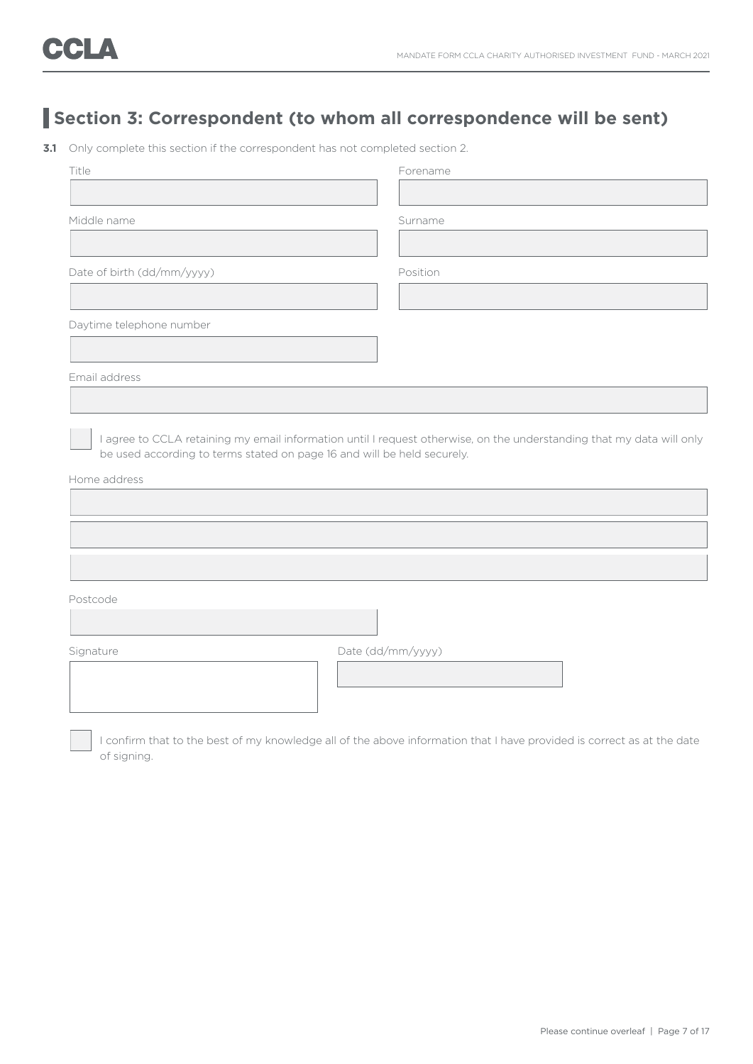### **Section 3: Correspondent (to whom all correspondence will be sent)**

**3.1** Only complete this section if the correspondent has not completed section 2.

| Title                                                                                   |                   | Forename |
|-----------------------------------------------------------------------------------------|-------------------|----------|
|                                                                                         |                   |          |
| Middle name                                                                             |                   | Surname  |
|                                                                                         |                   |          |
| Date of birth (dd/mm/yyyy)                                                              |                   | Position |
|                                                                                         |                   |          |
| Daytime telephone number                                                                |                   |          |
|                                                                                         |                   |          |
| Email address                                                                           |                   |          |
|                                                                                         |                   |          |
| be used according to terms stated on page 16 and will be held securely.<br>Home address |                   |          |
|                                                                                         |                   |          |
|                                                                                         |                   |          |
| Postcode                                                                                |                   |          |
|                                                                                         |                   |          |
| Signature                                                                               | Date (dd/mm/yyyy) |          |
|                                                                                         |                   |          |
|                                                                                         |                   |          |

 I confirm that to the best of my knowledge all of the above information that I have provided is correct as at the date of signing.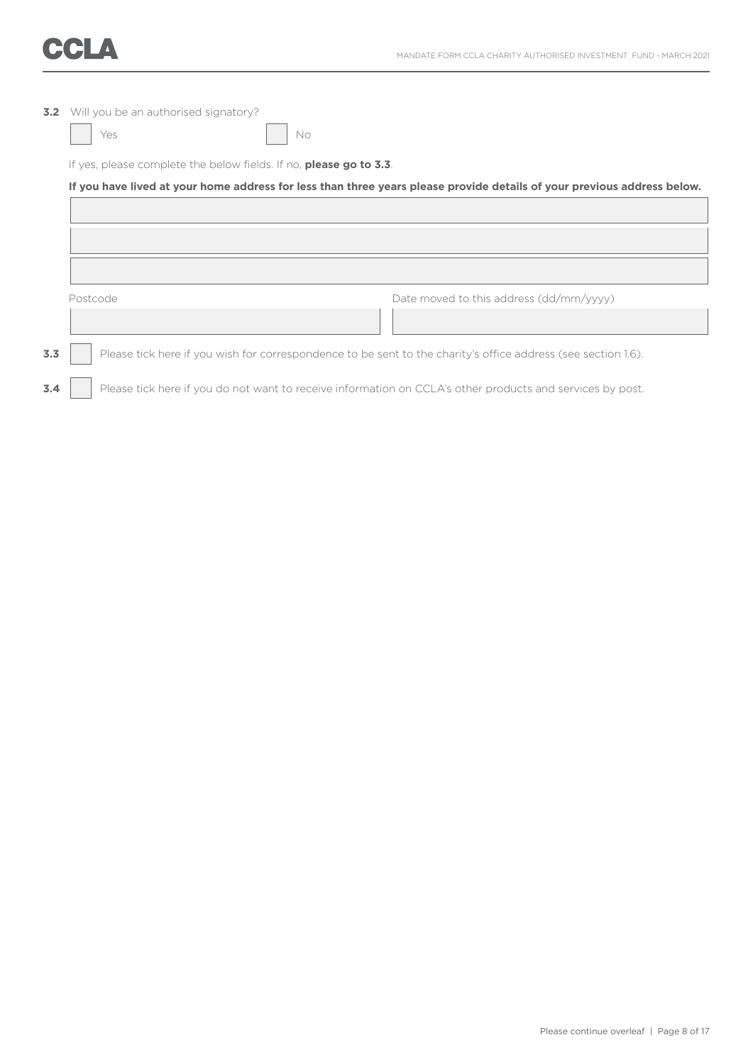

| 3.2 | Will you be an authorised signatory?                                                                                    |                                         |  |  |
|-----|-------------------------------------------------------------------------------------------------------------------------|-----------------------------------------|--|--|
|     | Yes<br>No                                                                                                               |                                         |  |  |
|     | If yes, please complete the below fields. If no, <b>please go to 3.3</b> .                                              |                                         |  |  |
|     | If you have lived at your home address for less than three years please provide details of your previous address below. |                                         |  |  |
|     |                                                                                                                         |                                         |  |  |
|     |                                                                                                                         |                                         |  |  |
|     |                                                                                                                         |                                         |  |  |
|     | Postcode                                                                                                                | Date moved to this address (dd/mm/yyyy) |  |  |
|     |                                                                                                                         |                                         |  |  |
| 3.3 | Please tick here if you wish for correspondence to be sent to the charity's office address (see section 1.6).           |                                         |  |  |

### **3.4** Please tick here if you do not want to receive information on CCLA's other products and services by post.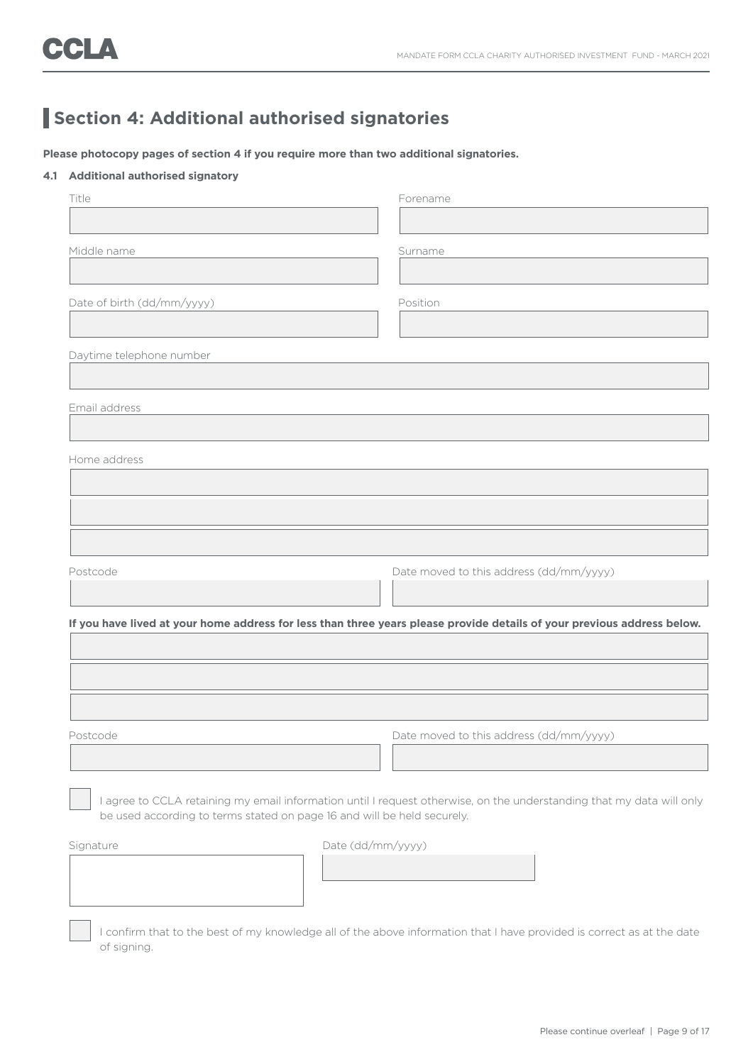### **Section 4: Additional authorised signatories**

**Please photocopy pages of section 4 if you require more than two additional signatories.**

#### **4.1 Additional authorised signatory**

of signing.

|                            | Forename                                                                                                                                                                                         |
|----------------------------|--------------------------------------------------------------------------------------------------------------------------------------------------------------------------------------------------|
| Middle name                | Surname                                                                                                                                                                                          |
|                            |                                                                                                                                                                                                  |
| Date of birth (dd/mm/yyyy) | Position                                                                                                                                                                                         |
| Daytime telephone number   |                                                                                                                                                                                                  |
|                            |                                                                                                                                                                                                  |
| Email address              |                                                                                                                                                                                                  |
| Home address               |                                                                                                                                                                                                  |
|                            |                                                                                                                                                                                                  |
|                            |                                                                                                                                                                                                  |
|                            |                                                                                                                                                                                                  |
|                            |                                                                                                                                                                                                  |
| Postcode                   | Date moved to this address (dd/mm/yyyy)                                                                                                                                                          |
|                            |                                                                                                                                                                                                  |
|                            | If you have lived at your home address for less than three years please provide details of your previous address below.                                                                          |
|                            |                                                                                                                                                                                                  |
|                            |                                                                                                                                                                                                  |
| Postcode                   | Date moved to this address (dd/mm/yyyy)                                                                                                                                                          |
|                            |                                                                                                                                                                                                  |
|                            |                                                                                                                                                                                                  |
|                            | I agree to CCLA retaining my email information until I request otherwise, on the understanding that my data will only<br>be used according to terms stated on page 16 and will be held securely. |
| Signature                  | Date (dd/mm/yyyy)                                                                                                                                                                                |
|                            |                                                                                                                                                                                                  |

Please continue overleaf | Page 9 of 17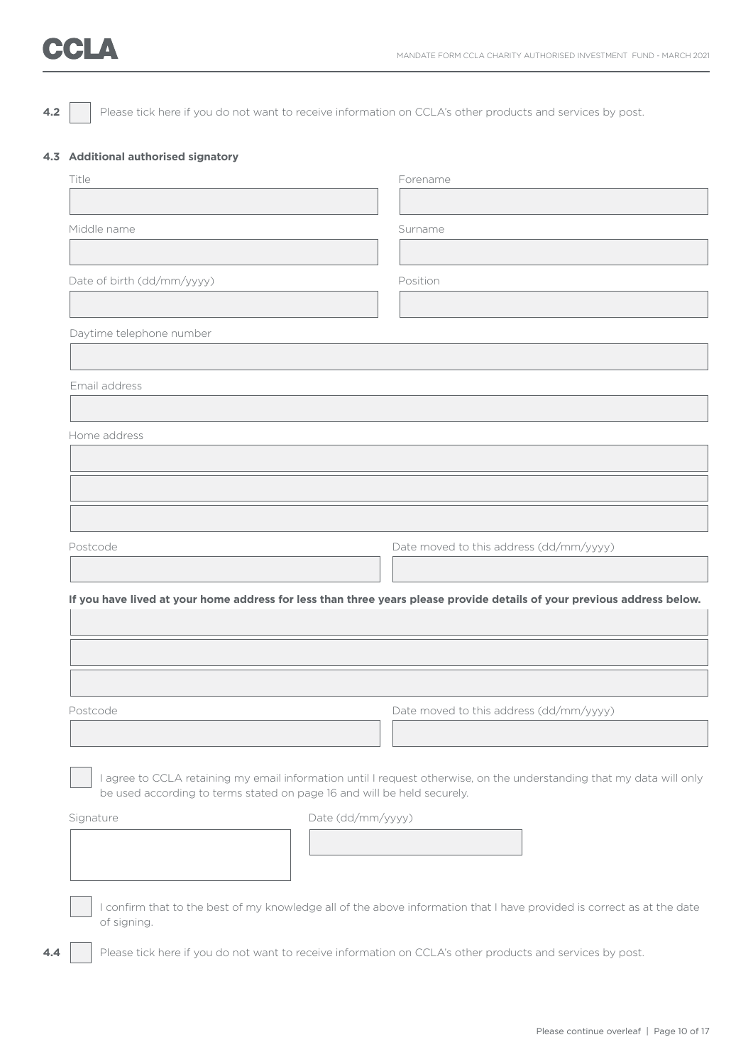## **CCLA**

**4.2** Please tick here if you do not want to receive information on CCLA's other products and services by post.

#### **4.3 Additional authorised signatory**

| Middle name<br>Surname<br>Date of birth (dd/mm/yyyy)<br>Position<br>Daytime telephone number<br>Email address<br>Home address<br>Date moved to this address (dd/mm/yyyy)<br>Postcode<br>If you have lived at your home address for less than three years please provide details of your previous address below.<br>Date moved to this address (dd/mm/yyyy)<br>Postcode<br>I agree to CCLA retaining my email information until I request otherwise, on the understanding that my data will only<br>be used according to terms stated on page 16 and will be held securely.<br>Date (dd/mm/yyyy)<br>Signature<br>I confirm that to the best of my knowledge all of the above information that I have provided is correct as at the date<br>of signing.<br>Please tick here if you do not want to receive information on CCLA's other products and services by post. | Forename |
|--------------------------------------------------------------------------------------------------------------------------------------------------------------------------------------------------------------------------------------------------------------------------------------------------------------------------------------------------------------------------------------------------------------------------------------------------------------------------------------------------------------------------------------------------------------------------------------------------------------------------------------------------------------------------------------------------------------------------------------------------------------------------------------------------------------------------------------------------------------------|----------|
|                                                                                                                                                                                                                                                                                                                                                                                                                                                                                                                                                                                                                                                                                                                                                                                                                                                                    |          |
|                                                                                                                                                                                                                                                                                                                                                                                                                                                                                                                                                                                                                                                                                                                                                                                                                                                                    |          |
|                                                                                                                                                                                                                                                                                                                                                                                                                                                                                                                                                                                                                                                                                                                                                                                                                                                                    |          |
|                                                                                                                                                                                                                                                                                                                                                                                                                                                                                                                                                                                                                                                                                                                                                                                                                                                                    |          |
|                                                                                                                                                                                                                                                                                                                                                                                                                                                                                                                                                                                                                                                                                                                                                                                                                                                                    |          |
|                                                                                                                                                                                                                                                                                                                                                                                                                                                                                                                                                                                                                                                                                                                                                                                                                                                                    |          |
|                                                                                                                                                                                                                                                                                                                                                                                                                                                                                                                                                                                                                                                                                                                                                                                                                                                                    |          |
|                                                                                                                                                                                                                                                                                                                                                                                                                                                                                                                                                                                                                                                                                                                                                                                                                                                                    |          |
|                                                                                                                                                                                                                                                                                                                                                                                                                                                                                                                                                                                                                                                                                                                                                                                                                                                                    |          |
|                                                                                                                                                                                                                                                                                                                                                                                                                                                                                                                                                                                                                                                                                                                                                                                                                                                                    |          |
|                                                                                                                                                                                                                                                                                                                                                                                                                                                                                                                                                                                                                                                                                                                                                                                                                                                                    |          |
|                                                                                                                                                                                                                                                                                                                                                                                                                                                                                                                                                                                                                                                                                                                                                                                                                                                                    |          |
|                                                                                                                                                                                                                                                                                                                                                                                                                                                                                                                                                                                                                                                                                                                                                                                                                                                                    |          |
|                                                                                                                                                                                                                                                                                                                                                                                                                                                                                                                                                                                                                                                                                                                                                                                                                                                                    |          |
|                                                                                                                                                                                                                                                                                                                                                                                                                                                                                                                                                                                                                                                                                                                                                                                                                                                                    |          |
|                                                                                                                                                                                                                                                                                                                                                                                                                                                                                                                                                                                                                                                                                                                                                                                                                                                                    |          |
|                                                                                                                                                                                                                                                                                                                                                                                                                                                                                                                                                                                                                                                                                                                                                                                                                                                                    |          |
|                                                                                                                                                                                                                                                                                                                                                                                                                                                                                                                                                                                                                                                                                                                                                                                                                                                                    |          |
|                                                                                                                                                                                                                                                                                                                                                                                                                                                                                                                                                                                                                                                                                                                                                                                                                                                                    |          |
|                                                                                                                                                                                                                                                                                                                                                                                                                                                                                                                                                                                                                                                                                                                                                                                                                                                                    |          |
|                                                                                                                                                                                                                                                                                                                                                                                                                                                                                                                                                                                                                                                                                                                                                                                                                                                                    |          |
|                                                                                                                                                                                                                                                                                                                                                                                                                                                                                                                                                                                                                                                                                                                                                                                                                                                                    |          |
|                                                                                                                                                                                                                                                                                                                                                                                                                                                                                                                                                                                                                                                                                                                                                                                                                                                                    |          |
|                                                                                                                                                                                                                                                                                                                                                                                                                                                                                                                                                                                                                                                                                                                                                                                                                                                                    |          |
|                                                                                                                                                                                                                                                                                                                                                                                                                                                                                                                                                                                                                                                                                                                                                                                                                                                                    |          |
|                                                                                                                                                                                                                                                                                                                                                                                                                                                                                                                                                                                                                                                                                                                                                                                                                                                                    |          |
|                                                                                                                                                                                                                                                                                                                                                                                                                                                                                                                                                                                                                                                                                                                                                                                                                                                                    |          |
|                                                                                                                                                                                                                                                                                                                                                                                                                                                                                                                                                                                                                                                                                                                                                                                                                                                                    |          |
|                                                                                                                                                                                                                                                                                                                                                                                                                                                                                                                                                                                                                                                                                                                                                                                                                                                                    |          |
|                                                                                                                                                                                                                                                                                                                                                                                                                                                                                                                                                                                                                                                                                                                                                                                                                                                                    |          |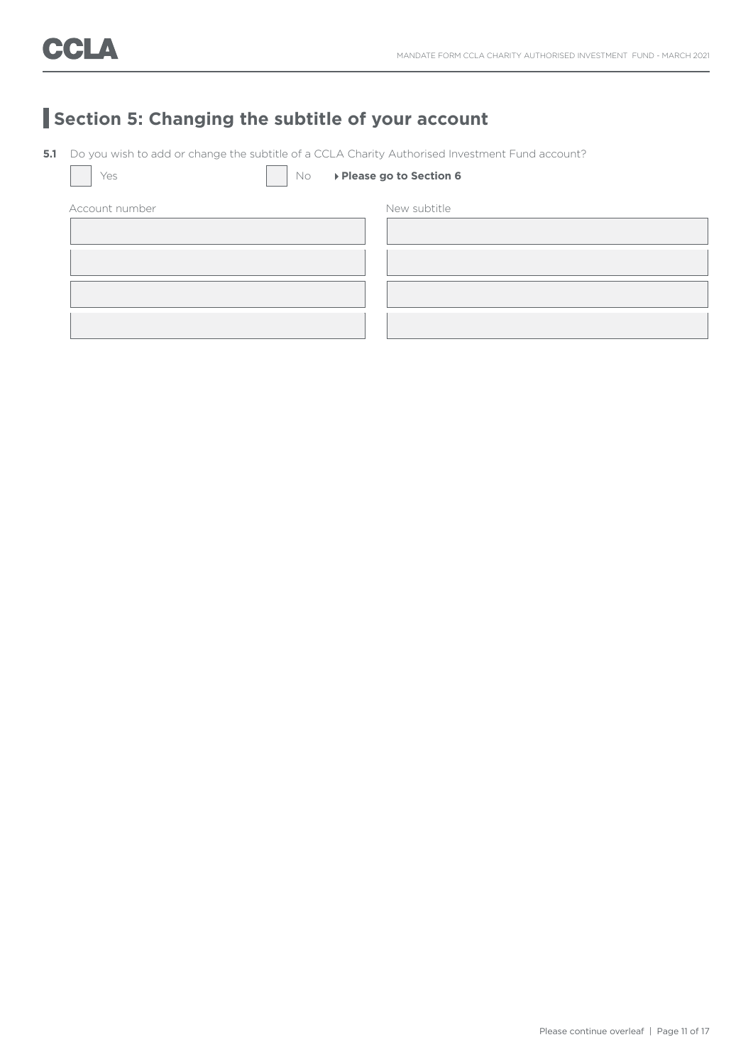## **Section 5: Changing the subtitle of your account**

**5.1** Do you wish to add or change the subtitle of a CCLA Charity Authorised Investment Fund account?

Yes **No <b>Please go to Section 6** 

| Account number | New subtitle |
|----------------|--------------|
|                |              |
|                |              |
|                |              |
|                |              |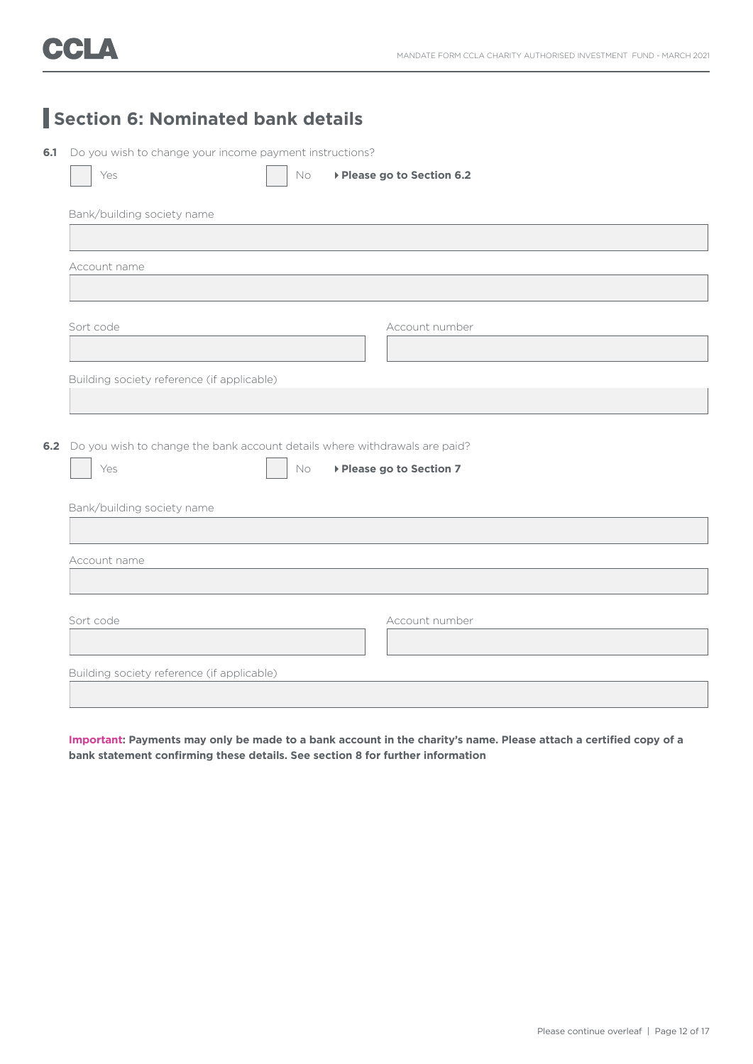## **Section 6: Nominated bank details**

**6.1** Do you wish to change your income payment instructions?

| ▶ Please go to Section 6.2<br>Yes<br>No                                        |
|--------------------------------------------------------------------------------|
|                                                                                |
| Bank/building society name                                                     |
|                                                                                |
| Account name                                                                   |
|                                                                                |
| Sort code<br>Account number                                                    |
|                                                                                |
| Building society reference (if applicable)                                     |
|                                                                                |
|                                                                                |
| 6.2 Do you wish to change the bank account details where withdrawals are paid? |
| No<br>▶ Please go to Section 7<br>Yes                                          |
| Bank/building society name                                                     |
|                                                                                |
| Account name                                                                   |
|                                                                                |
| Sort code<br>Account number                                                    |
|                                                                                |
|                                                                                |
| Building society reference (if applicable)                                     |
|                                                                                |

**Important: Payments may only be made to a bank account in the charity's name. Please attach a certified copy of a bank statement confirming these details. See section 8 for further information**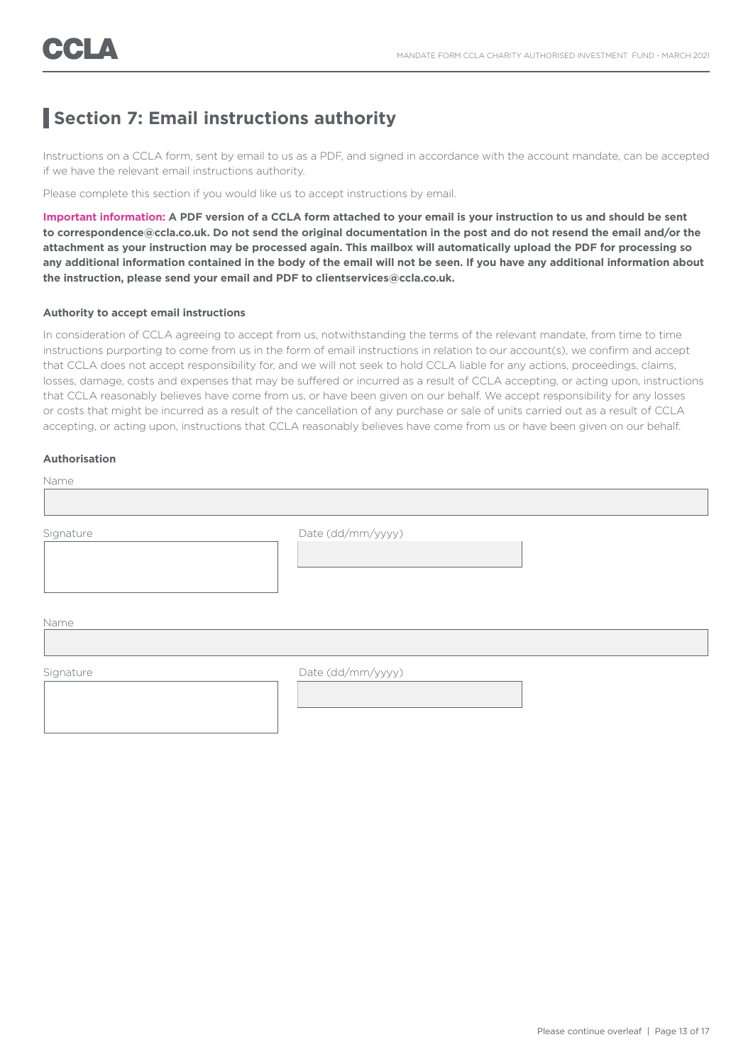### **Section 7: Email instructions authority**

Instructions on a CCLA form, sent by email to us as a PDF, and signed in accordance with the account mandate, can be accepted if we have the relevant email instructions authority.

Please complete this section if you would like us to accept instructions by email.

**Important information: A PDF version of a CCLA form attached to your email is your instruction to us and should be sent to correspondence@ccla.co.uk. Do not send the original documentation in the post and do not resend the email and/or the attachment as your instruction may be processed again. This mailbox will automatically upload the PDF for processing so any additional information contained in the body of the email will not be seen. If you have any additional information about the instruction, please send your email and PDF to clientservices@ccla.co.uk.**

#### **Authority to accept email instructions**

In consideration of CCLA agreeing to accept from us, notwithstanding the terms of the relevant mandate, from time to time instructions purporting to come from us in the form of email instructions in relation to our account(s), we confirm and accept that CCLA does not accept responsibility for, and we will not seek to hold CCLA liable for any actions, proceedings, claims, losses, damage, costs and expenses that may be suffered or incurred as a result of CCLA accepting, or acting upon, instructions that CCLA reasonably believes have come from us, or have been given on our behalf. We accept responsibility for any losses or costs that might be incurred as a result of the cancellation of any purchase or sale of units carried out as a result of CCLA accepting, or acting upon, instructions that CCLA reasonably believes have come from us or have been given on our behalf.

#### **Authorisation**

| Name      |                   |  |
|-----------|-------------------|--|
|           |                   |  |
| Signature | Date (dd/mm/yyyy) |  |
| Name      |                   |  |
| Signature | Date (dd/mm/yyyy) |  |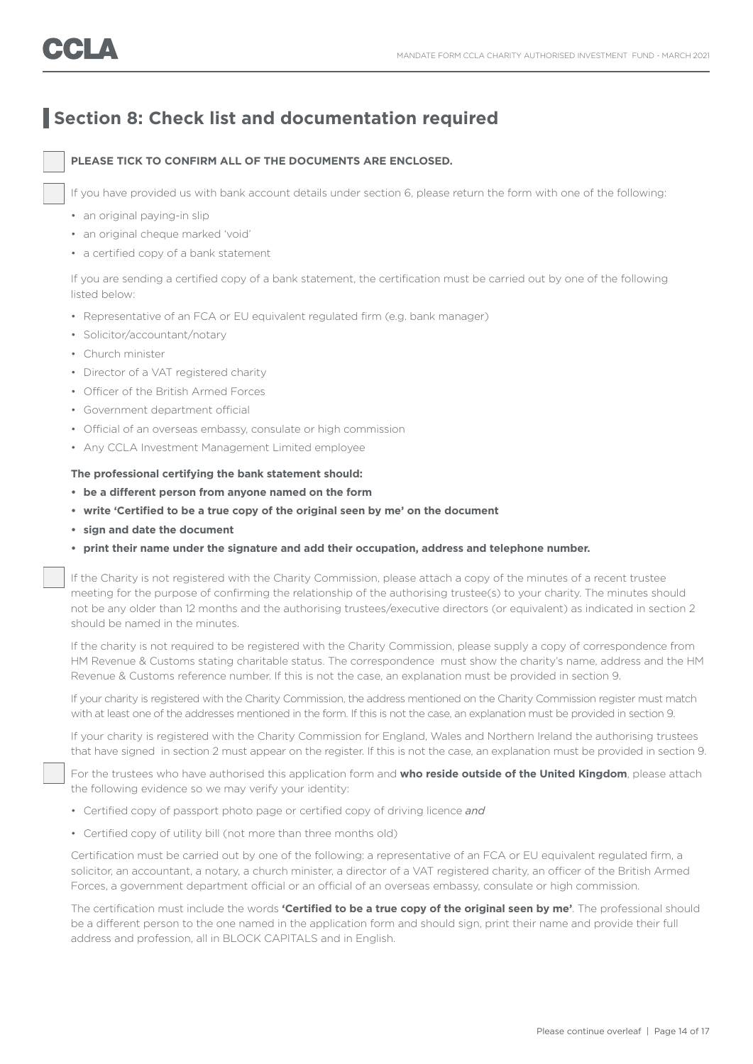### **Section 8: Check list and documentation required**

#### **PLEASE TICK TO CONFIRM ALL OF THE DOCUMENTS ARE ENCLOSED.**

If you have provided us with bank account details under section 6, please return the form with one of the following:

- an original paying-in slip
- an original cheque marked 'void'
- a certified copy of a bank statement

 If you are sending a certified copy of a bank statement, the certification must be carried out by one of the following listed below:

- Representative of an FCA or EU equivalent regulated firm (e.g. bank manager)
- Solicitor/accountant/notary
- Church minister
- Director of a VAT registered charity
- Officer of the British Armed Forces
- Government department official
- Official of an overseas embassy, consulate or high commission
- Any CCLA Investment Management Limited employee

#### **The professional certifying the bank statement should:**

- **• be a different person from anyone named on the form**
- **• write 'Certified to be a true copy of the original seen by me' on the document**
- **• sign and date the document**
- **• print their name under the signature and add their occupation, address and telephone number.**

 If the Charity is not registered with the Charity Commission, please attach a copy of the minutes of a recent trustee meeting for the purpose of confirming the relationship of the authorising trustee(s) to your charity. The minutes should not be any older than 12 months and the authorising trustees/executive directors (or equivalent) as indicated in section 2 should be named in the minutes.

 If the charity is not required to be registered with the Charity Commission, please supply a copy of correspondence from HM Revenue & Customs stating charitable status. The correspondence must show the charity's name, address and the HM Revenue & Customs reference number. If this is not the case, an explanation must be provided in section 9.

 If your charity is registered with the Charity Commission, the address mentioned on the Charity Commission register must match with at least one of the addresses mentioned in the form. If this is not the case, an explanation must be provided in section 9.

 If your charity is registered with the Charity Commission for England, Wales and Northern Ireland the authorising trustees that have signed in section 2 must appear on the register. If this is not the case, an explanation must be provided in section 9.

For the trustees who have authorised this application form and **who reside outside of the United Kingdom**, please attach the following evidence so we may verify your identity:

- Certified copy of passport photo page or certified copy of driving licence *and*
- Certified copy of utility bill (not more than three months old)

 Certification must be carried out by one of the following: a representative of an FCA or EU equivalent regulated firm, a solicitor, an accountant, a notary, a church minister, a director of a VAT registered charity, an officer of the British Armed Forces, a government department official or an official of an overseas embassy, consulate or high commission.

 The certification must include the words **'Certified to be a true copy of the original seen by me'**. The professional should be a different person to the one named in the application form and should sign, print their name and provide their full address and profession, all in BLOCK CAPITALS and in English.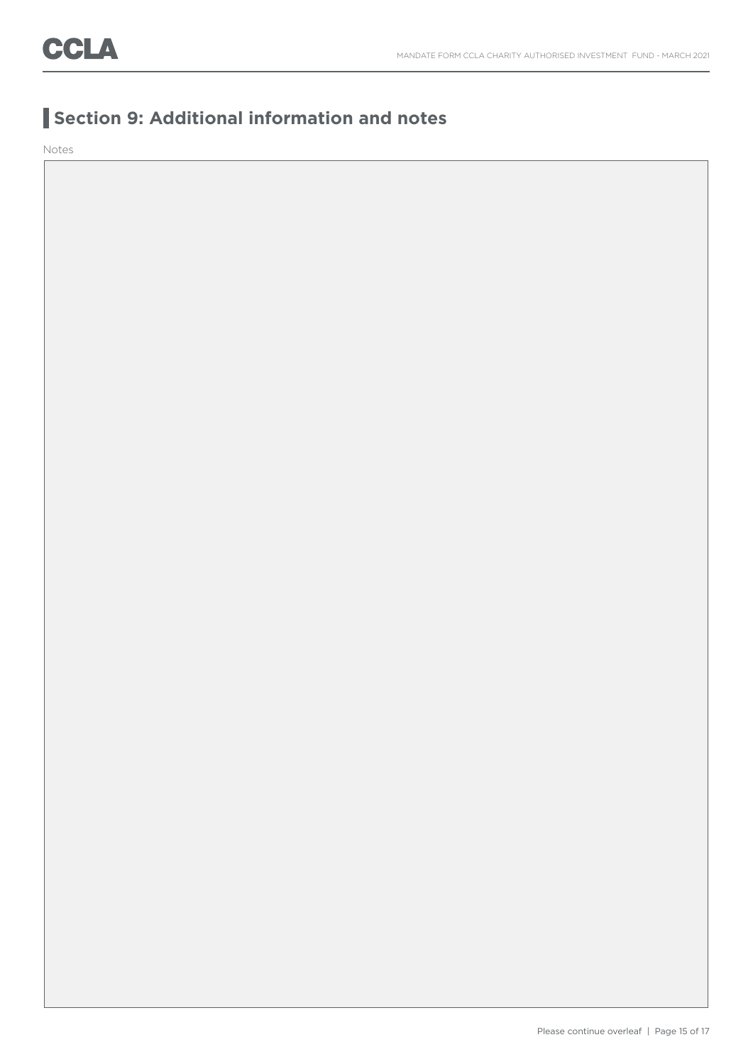### **Section 9: Additional information and notes**

Notes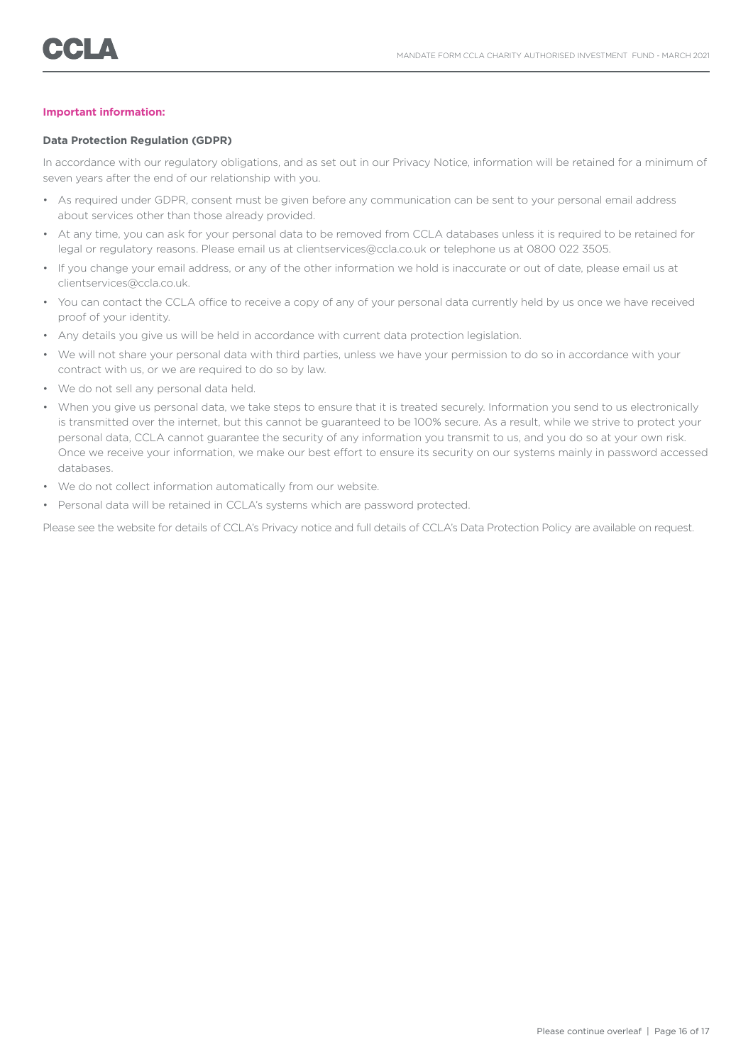#### **Important information:**

#### **Data Protection Regulation (GDPR)**

In accordance with our regulatory obligations, and as set out in our Privacy Notice, information will be retained for a minimum of seven years after the end of our relationship with you.

- As required under GDPR, consent must be given before any communication can be sent to your personal email address about services other than those already provided.
- At any time, you can ask for your personal data to be removed from CCLA databases unless it is required to be retained for legal or regulatory reasons. Please email us at clientservices@ccla.co.uk or telephone us at 0800 022 3505.
- If you change your email address, or any of the other information we hold is inaccurate or out of date, please email us at clientservices@ccla.co.uk.
- You can contact the CCLA office to receive a copy of any of your personal data currently held by us once we have received proof of your identity.
- Any details you give us will be held in accordance with current data protection legislation.
- We will not share your personal data with third parties, unless we have your permission to do so in accordance with your contract with us, or we are required to do so by law.
- We do not sell any personal data held.
- When you give us personal data, we take steps to ensure that it is treated securely. Information you send to us electronically is transmitted over the internet, but this cannot be guaranteed to be 100% secure. As a result, while we strive to protect your personal data, CCLA cannot guarantee the security of any information you transmit to us, and you do so at your own risk. Once we receive your information, we make our best effort to ensure its security on our systems mainly in password accessed databases.
- We do not collect information automatically from our website.
- Personal data will be retained in CCLA's systems which are password protected.

Please see the website for details of CCLA's Privacy notice and full details of CCLA's Data Protection Policy are available on request.